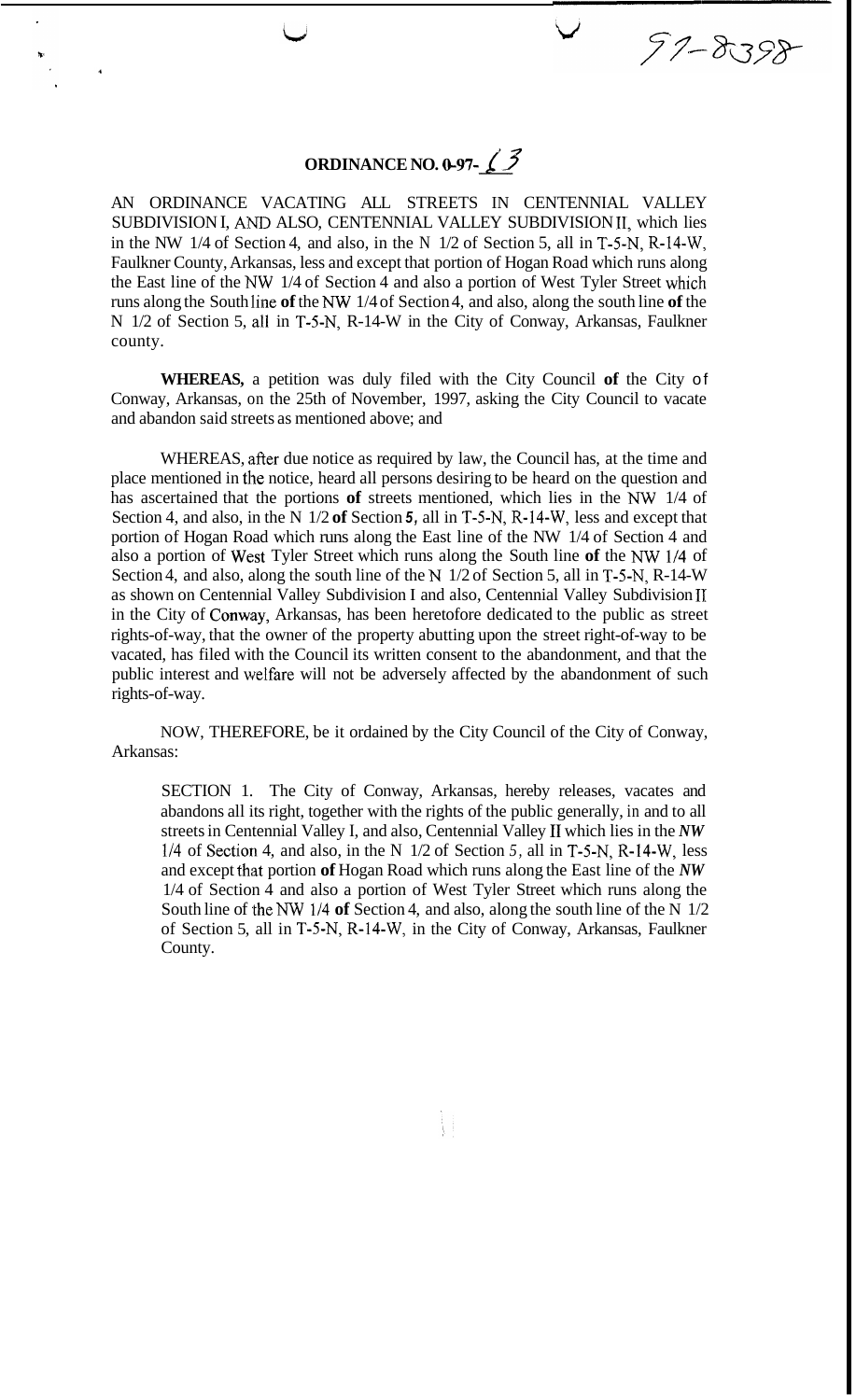## **ORDINANCE NO.** *0-97-L3*

 $57 - 8398$ 

AN ORDINANCE VACATING ALL STREETS IN CENTENNIAL VALLEY SUBDIVISION I, AND ALSO, CENTENNIAL VALLEY SUBDIVISION II, which lies in the NW 1/4 of Section 4, and also, in the N 1/2 of Section 5, all in T-5-N, R-14-W, Faulkner County, Arkansas, less and except that portion of Hogan Road which runs along the East line of the NW 1/4 of Section 4 and also a portion of West Tyler Street which runs along the South lime **of** the *NW* 1/4 of Section 4, and also, along the south line **of** the N 1/2 of Section 5, all in T-5-N, R-14-W in the City of Conway, Arkansas, Faulkner county.

**WHEREAS,** a petition was duly filed with the City Council **of** the City of Conway, Arkansas, on the 25th of November, 1997, asking the City Council to vacate and abandon said streets as mentioned above; and

WHEREAS, after due notice as required by law, the Council has, at the time and place mentioned in the notice, heard all persons desiring to be heard on the question and has ascertained that the portions **of** streets mentioned, which lies in the *NW* 1/4 of Section 4, and also, in the N 1/2 **of** Section *5,* all in T-5-N, R-14-W, less and except that portion of Hogan Road which runs along the East line of the NW 1/4 of Section 4 and also a portion of West Tyler Street which runs along the South line **of** the *NW* 1/4 of Section 4, and also, along the south line of the N 1/2 of Section 5, all in T-5-N, R-14-W as shown on Centennial Valley Subdivision I and also, Centennial Valley Subdivision **IT**  in the City of Conway, Arkansas, has been heretofore dedicated to the public as street rights-of-way, that the owner of the property abutting upon the street right-of-way to be vacated, has filed with the Council its written consent to the abandonment, and that the public interest and welfare will not be adversely affected by the abandonment of such rights-of-way.

NOW, THEREFORE, be it ordained by the City Council of the City of Conway, Arkansas:

SECTION 1. The City of Conway, Arkansas, hereby releases, vacates and abandons all its right, together with the rights of the public generally, in and to all streets in Centennial Valley I, and also, Centennial Valley I1 which lies in the *NW*  114 of Section 4, and also, in the N 1/2 of Section *5,* all in T-5-N, R-14-W, less and except that portion of Hogan Road which runs along the East line of the *NW* 1/4 of Section 4 and also a portion of West Tyler Street which runs along the South line of the *NW* 1/4 **of** Section 4, and also, along the south line of the N 1/2 of Section 5, all in T-5-N, R-14-W, in the City of Conway, Arkansas, Faulkner County.